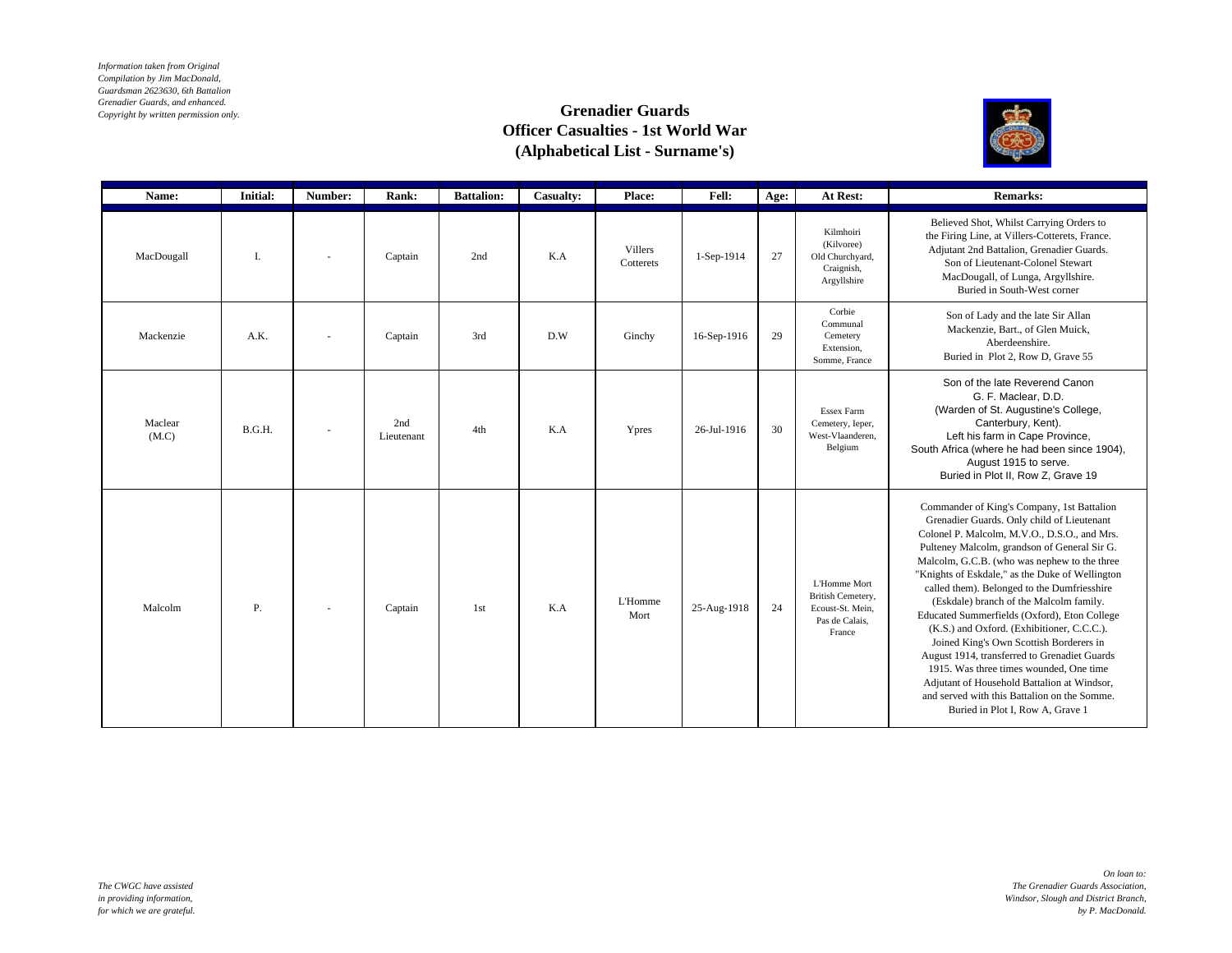*Information taken from Original Compilation by Jim MacDonald, Guardsman 2623630, 6th Battalion Grenadier Guards, and enhanced. Copyright by written permission only.*

## **Grenadier Guards Officer Casualties - 1st World War (Alphabetical List - Surname's)**



| Name:            | <b>Initial:</b> | Number:                  | Rank:             | <b>Battalion:</b> | Casualty: | Place:                      | <b>Fell:</b> | Age: | At Rest:                                                                          | <b>Remarks:</b>                                                                                                                                                                                                                                                                                                                                                                                                                                                                                                                                                                                                                                                                                                                                              |
|------------------|-----------------|--------------------------|-------------------|-------------------|-----------|-----------------------------|--------------|------|-----------------------------------------------------------------------------------|--------------------------------------------------------------------------------------------------------------------------------------------------------------------------------------------------------------------------------------------------------------------------------------------------------------------------------------------------------------------------------------------------------------------------------------------------------------------------------------------------------------------------------------------------------------------------------------------------------------------------------------------------------------------------------------------------------------------------------------------------------------|
| MacDougall       | I.              |                          | Captain           | 2nd               | K.A       | <b>Villers</b><br>Cotterets | $1-Sep-1914$ | 27   | Kilmhoiri<br>(Kilvoree)<br>Old Churchyard,<br>Craignish,<br>Argyllshire           | Believed Shot, Whilst Carrying Orders to<br>the Firing Line, at Villers-Cotterets, France.<br>Adjutant 2nd Battalion, Grenadier Guards.<br>Son of Lieutenant-Colonel Stewart<br>MacDougall, of Lunga, Argyllshire.<br>Buried in South-West corner                                                                                                                                                                                                                                                                                                                                                                                                                                                                                                            |
| Mackenzie        | A.K.            | $\sim$                   | Captain           | 3rd               | D.W       | Ginchy                      | 16-Sep-1916  | 29   | Corbie<br>Communal<br>Cemetery<br>Extension,<br>Somme, France                     | Son of Lady and the late Sir Allan<br>Mackenzie, Bart., of Glen Muick,<br>Aberdeenshire.<br>Buried in Plot 2, Row D, Grave 55                                                                                                                                                                                                                                                                                                                                                                                                                                                                                                                                                                                                                                |
| Maclear<br>(M.C) | B.G.H.          |                          | 2nd<br>Lieutenant | 4th               | K.A       | Ypres                       | 26-Jul-1916  | 30   | <b>Essex Farm</b><br>Cemetery, Ieper,<br>West-Vlaanderen,<br>Belgium              | Son of the late Reverend Canon<br>G. F. Maclear, D.D.<br>(Warden of St. Augustine's College,<br>Canterbury, Kent).<br>Left his farm in Cape Province,<br>South Africa (where he had been since 1904),<br>August 1915 to serve.<br>Buried in Plot II, Row Z, Grave 19                                                                                                                                                                                                                                                                                                                                                                                                                                                                                         |
| Malcolm          | Ρ.              | $\overline{\phantom{a}}$ | Captain           | 1st               | K.A       | <b>L'Homme</b><br>Mort      | 25-Aug-1918  | 24   | L'Homme Mort<br>British Cemetery,<br>Ecoust-St. Mein.<br>Pas de Calais,<br>France | Commander of King's Company, 1st Battalion<br>Grenadier Guards. Only child of Lieutenant<br>Colonel P. Malcolm, M.V.O., D.S.O., and Mrs.<br>Pulteney Malcolm, grandson of General Sir G.<br>Malcolm, G.C.B. (who was nephew to the three<br>"Knights of Eskdale," as the Duke of Wellington<br>called them). Belonged to the Dumfriesshire<br>(Eskdale) branch of the Malcolm family.<br>Educated Summerfields (Oxford), Eton College<br>(K.S.) and Oxford. (Exhibitioner, C.C.C.).<br>Joined King's Own Scottish Borderers in<br>August 1914, transferred to Grenadiet Guards<br>1915. Was three times wounded, One time<br>Adjutant of Household Battalion at Windsor,<br>and served with this Battalion on the Somme.<br>Buried in Plot I, Row A, Grave 1 |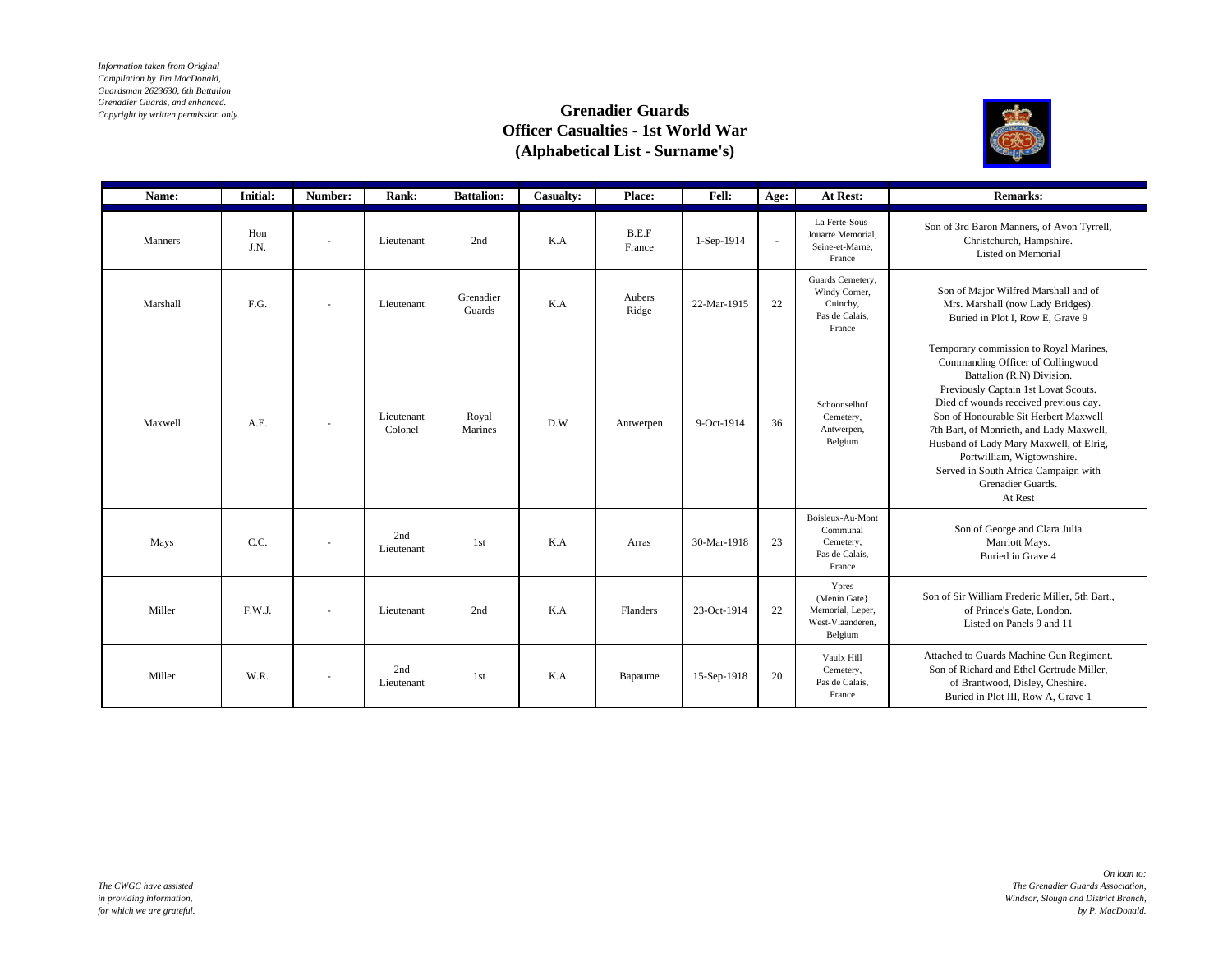*Information taken from Original Compilation by Jim MacDonald, Guardsman 2623630, 6th Battalion Grenadier Guards, and enhanced. Copyright by written permission only.*

## **Grenadier Guards Officer Casualties - 1st World War (Alphabetical List - Surname's)**



| Name:          | <b>Initial:</b> | Number:                  | Rank:                 | <b>Battalion:</b>   | Casualty: | Place:          | Fell:       | Age:   | At Rest:                                                                  | <b>Remarks:</b>                                                                                                                                                                                                                                                                                                                                                                                                                 |
|----------------|-----------------|--------------------------|-----------------------|---------------------|-----------|-----------------|-------------|--------|---------------------------------------------------------------------------|---------------------------------------------------------------------------------------------------------------------------------------------------------------------------------------------------------------------------------------------------------------------------------------------------------------------------------------------------------------------------------------------------------------------------------|
| <b>Manners</b> | Hon<br>J.N.     |                          | Lieutenant            | 2nd                 | K.A       | B.E.F<br>France | 1-Sep-1914  | $\sim$ | La Ferte-Sous-<br>Jouarre Memorial.<br>Seine-et-Marne.<br>France          | Son of 3rd Baron Manners, of Avon Tyrrell,<br>Christchurch, Hampshire.<br>Listed on Memorial                                                                                                                                                                                                                                                                                                                                    |
| Marshall       | F.G.            | ä,                       | Lieutenant            | Grenadier<br>Guards | K.A       | Aubers<br>Ridge | 22-Mar-1915 | 22     | Guards Cemetery,<br>Windy Corner,<br>Cuinchy,<br>Pas de Calais,<br>France | Son of Major Wilfred Marshall and of<br>Mrs. Marshall (now Lady Bridges).<br>Buried in Plot I, Row E, Grave 9                                                                                                                                                                                                                                                                                                                   |
| Maxwell        | A.E.            | ٠                        | Lieutenant<br>Colonel | Royal<br>Marines    | D.W       | Antwerpen       | 9-Oct-1914  | 36     | Schoonselhof<br>Cemetery,<br>Antwerpen,<br>Belgium                        | Temporary commission to Royal Marines,<br>Commanding Officer of Collingwood<br>Battalion (R.N) Division.<br>Previously Captain 1st Lovat Scouts.<br>Died of wounds received previous day.<br>Son of Honourable Sit Herbert Maxwell<br>7th Bart, of Monrieth, and Lady Maxwell,<br>Husband of Lady Mary Maxwell, of Elrig,<br>Portwilliam, Wigtownshire.<br>Served in South Africa Campaign with<br>Grenadier Guards.<br>At Rest |
| Mays           | C.C.            | $\overline{\phantom{a}}$ | 2nd<br>Lieutenant     | 1st                 | K.A       | Arras           | 30-Mar-1918 | 23     | Boisleux-Au-Mont<br>Communal<br>Cemetery,<br>Pas de Calais,<br>France     | Son of George and Clara Julia<br>Marriott Mays.<br>Buried in Grave 4                                                                                                                                                                                                                                                                                                                                                            |
| Miller         | F.W.J.          |                          | Lieutenant            | 2nd                 | K.A       | Flanders        | 23-Oct-1914 | 22     | Ypres<br>(Menin Gate)<br>Memorial, Leper,<br>West-Vlaanderen,<br>Belgium  | Son of Sir William Frederic Miller, 5th Bart.,<br>of Prince's Gate, London.<br>Listed on Panels 9 and 11                                                                                                                                                                                                                                                                                                                        |
| Miller         | W.R.            | ٠                        | 2nd<br>Lieutenant     | 1st                 | K.A       | Bapaume         | 15-Sep-1918 | 20     | Vaulx Hill<br>Cemetery,<br>Pas de Calais.<br>France                       | Attached to Guards Machine Gun Regiment.<br>Son of Richard and Ethel Gertrude Miller,<br>of Brantwood, Disley, Cheshire.<br>Buried in Plot III, Row A, Grave 1                                                                                                                                                                                                                                                                  |